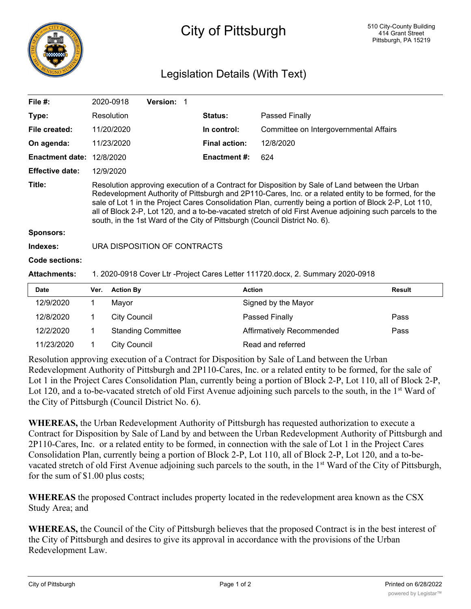

## City of Pittsburgh

## Legislation Details (With Text)

| File $#$ :             |                                                                                                                                                                                                                                                                                                                                                                                                                                                                                                              | 2020-0918           | Version: 1                |  |                      |                                        |               |
|------------------------|--------------------------------------------------------------------------------------------------------------------------------------------------------------------------------------------------------------------------------------------------------------------------------------------------------------------------------------------------------------------------------------------------------------------------------------------------------------------------------------------------------------|---------------------|---------------------------|--|----------------------|----------------------------------------|---------------|
| Type:                  |                                                                                                                                                                                                                                                                                                                                                                                                                                                                                                              | Resolution          |                           |  | <b>Status:</b>       | <b>Passed Finally</b>                  |               |
| File created:          |                                                                                                                                                                                                                                                                                                                                                                                                                                                                                                              | 11/20/2020          |                           |  | In control:          | Committee on Intergovernmental Affairs |               |
| On agenda:             |                                                                                                                                                                                                                                                                                                                                                                                                                                                                                                              | 11/23/2020          |                           |  | <b>Final action:</b> | 12/8/2020                              |               |
| <b>Enactment date:</b> |                                                                                                                                                                                                                                                                                                                                                                                                                                                                                                              | 12/8/2020           |                           |  | <b>Enactment #:</b>  | 624                                    |               |
| <b>Effective date:</b> |                                                                                                                                                                                                                                                                                                                                                                                                                                                                                                              | 12/9/2020           |                           |  |                      |                                        |               |
| Title:                 | Resolution approving execution of a Contract for Disposition by Sale of Land between the Urban<br>Redevelopment Authority of Pittsburgh and 2P110-Cares, Inc. or a related entity to be formed, for the<br>sale of Lot 1 in the Project Cares Consolidation Plan, currently being a portion of Block 2-P, Lot 110,<br>all of Block 2-P, Lot 120, and a to-be-vacated stretch of old First Avenue adjoining such parcels to the<br>south, in the 1st Ward of the City of Pittsburgh (Council District No. 6). |                     |                           |  |                      |                                        |               |
| <b>Sponsors:</b>       |                                                                                                                                                                                                                                                                                                                                                                                                                                                                                                              |                     |                           |  |                      |                                        |               |
| Indexes:               | URA DISPOSITION OF CONTRACTS                                                                                                                                                                                                                                                                                                                                                                                                                                                                                 |                     |                           |  |                      |                                        |               |
| Code sections:         |                                                                                                                                                                                                                                                                                                                                                                                                                                                                                                              |                     |                           |  |                      |                                        |               |
| <b>Attachments:</b>    | 1. 2020-0918 Cover Ltr -Project Cares Letter 111720.docx, 2. Summary 2020-0918                                                                                                                                                                                                                                                                                                                                                                                                                               |                     |                           |  |                      |                                        |               |
| <b>Date</b>            | Ver.                                                                                                                                                                                                                                                                                                                                                                                                                                                                                                         | <b>Action By</b>    |                           |  | <b>Action</b>        |                                        | <b>Result</b> |
| 12/9/2020              | 1                                                                                                                                                                                                                                                                                                                                                                                                                                                                                                            | Mayor               |                           |  |                      | Signed by the Mayor                    |               |
| 12/8/2020              | 1                                                                                                                                                                                                                                                                                                                                                                                                                                                                                                            | <b>City Council</b> |                           |  |                      | Passed Finally                         | Pass          |
| 12/2/2020              | 1                                                                                                                                                                                                                                                                                                                                                                                                                                                                                                            |                     | <b>Standing Committee</b> |  |                      | Affirmatively Recommended              | Pass          |
| 11/23/2020             | 1                                                                                                                                                                                                                                                                                                                                                                                                                                                                                                            | <b>City Council</b> |                           |  |                      | Read and referred                      |               |

Resolution approving execution of a Contract for Disposition by Sale of Land between the Urban Redevelopment Authority of Pittsburgh and 2P110-Cares, Inc. or a related entity to be formed, for the sale of Lot 1 in the Project Cares Consolidation Plan, currently being a portion of Block 2-P, Lot 110, all of Block 2-P, Lot 120, and a to-be-vacated stretch of old First Avenue adjoining such parcels to the south, in the 1<sup>st</sup> Ward of the City of Pittsburgh (Council District No. 6).

**WHEREAS,** the Urban Redevelopment Authority of Pittsburgh has requested authorization to execute a Contract for Disposition by Sale of Land by and between the Urban Redevelopment Authority of Pittsburgh and 2P110-Cares, Inc. or a related entity to be formed, in connection with the sale of Lot 1 in the Project Cares Consolidation Plan, currently being a portion of Block 2-P, Lot 110, all of Block 2-P, Lot 120, and a to-bevacated stretch of old First Avenue adjoining such parcels to the south, in the 1<sup>st</sup> Ward of the City of Pittsburgh, for the sum of \$1.00 plus costs;

**WHEREAS** the proposed Contract includes property located in the redevelopment area known as the CSX Study Area; and

**WHEREAS,** the Council of the City of Pittsburgh believes that the proposed Contract is in the best interest of the City of Pittsburgh and desires to give its approval in accordance with the provisions of the Urban Redevelopment Law.